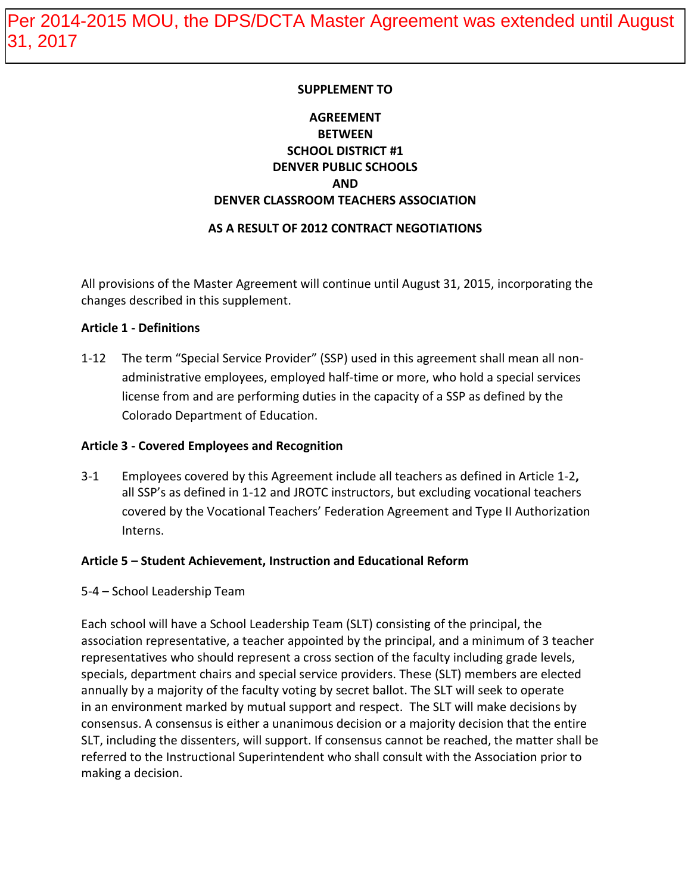#### **SUPPLEMENT TO**

# **AGREEMENT BETWEEN SCHOOL DISTRICT #1 DENVER PUBLIC SCHOOLS AND DENVER CLASSROOM TEACHERS ASSOCIATION**

#### **AS A RESULT OF 2012 CONTRACT NEGOTIATIONS**

All provisions of the Master Agreement will continue until August 31, 2015, incorporating the changes described in this supplement.

#### **Article 1 - Definitions**

1-12 The term "Special Service Provider" (SSP) used in this agreement shall mean all nonadministrative employees, employed half-time or more, who hold a special services license from and are performing duties in the capacity of a SSP as defined by the Colorado Department of Education.

#### **Article 3 - Covered Employees and Recognition**

3-1 Employees covered by this Agreement include all teachers as defined in Article 1-2**,** all SSP's as defined in 1-12 and JROTC instructors, but excluding vocational teachers covered by the Vocational Teachers' Federation Agreement and Type II Authorization Interns.

#### **Article 5 – Student Achievement, Instruction and Educational Reform**

5-4 – School Leadership Team

Each school will have a School Leadership Team (SLT) consisting of the principal, the association representative, a teacher appointed by the principal, and a minimum of 3 teacher representatives who should represent a cross section of the faculty including grade levels, specials, department chairs and special service providers. These (SLT) members are elected annually by a majority of the faculty voting by secret ballot. The SLT will seek to operate in an environment marked by mutual support and respect.The SLT will make decisions by consensus. A consensus is either a unanimous decision or a majority decision that the entire SLT, including the dissenters, will support. If consensus cannot be reached, the matter shall be referred to the Instructional Superintendent who shall consult with the Association prior to making a decision.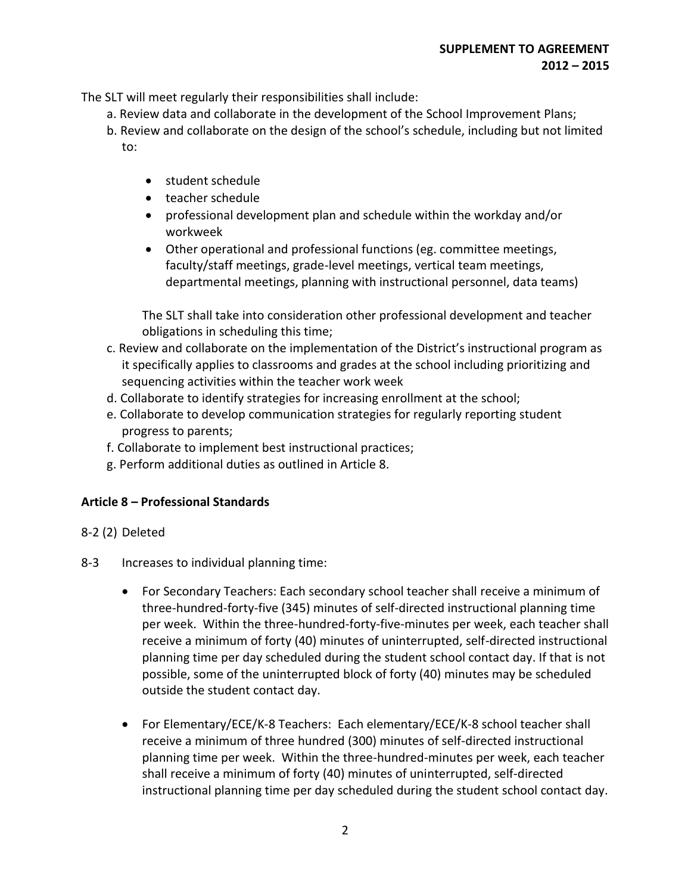The SLT will meet regularly their responsibilities shall include:

- a. Review data and collaborate in the development of the School Improvement Plans;
- b. Review and collaborate on the design of the school's schedule, including but not limited to:
	- student schedule
	- teacher schedule
	- professional development plan and schedule within the workday and/or workweek
	- Other operational and professional functions (eg. committee meetings, faculty/staff meetings, grade-level meetings, vertical team meetings, departmental meetings, planning with instructional personnel, data teams)

The SLT shall take into consideration other professional development and teacher obligations in scheduling this time;

- c. Review and collaborate on the implementation of the District's instructional program as it specifically applies to classrooms and grades at the school including prioritizing and sequencing activities within the teacher work week
- d. Collaborate to identify strategies for increasing enrollment at the school;
- e. Collaborate to develop communication strategies for regularly reporting student progress to parents;
- f. Collaborate to implement best instructional practices;
- g. Perform additional duties as outlined in Article 8.

### **Article 8 – Professional Standards**

#### 8-2 (2) Deleted

- 8-3 Increases to individual planning time:
	- For Secondary Teachers: Each secondary school teacher shall receive a minimum of three-hundred-forty-five (345) minutes of self-directed instructional planning time per week. Within the three-hundred-forty-five-minutes per week, each teacher shall receive a minimum of forty (40) minutes of uninterrupted, self-directed instructional planning time per day scheduled during the student school contact day. If that is not possible, some of the uninterrupted block of forty (40) minutes may be scheduled outside the student contact day.
	- For Elementary/ECE/K-8 Teachers: Each elementary/ECE/K-8 school teacher shall receive a minimum of three hundred (300) minutes of self-directed instructional planning time per week. Within the three-hundred-minutes per week, each teacher shall receive a minimum of forty (40) minutes of uninterrupted, self-directed instructional planning time per day scheduled during the student school contact day.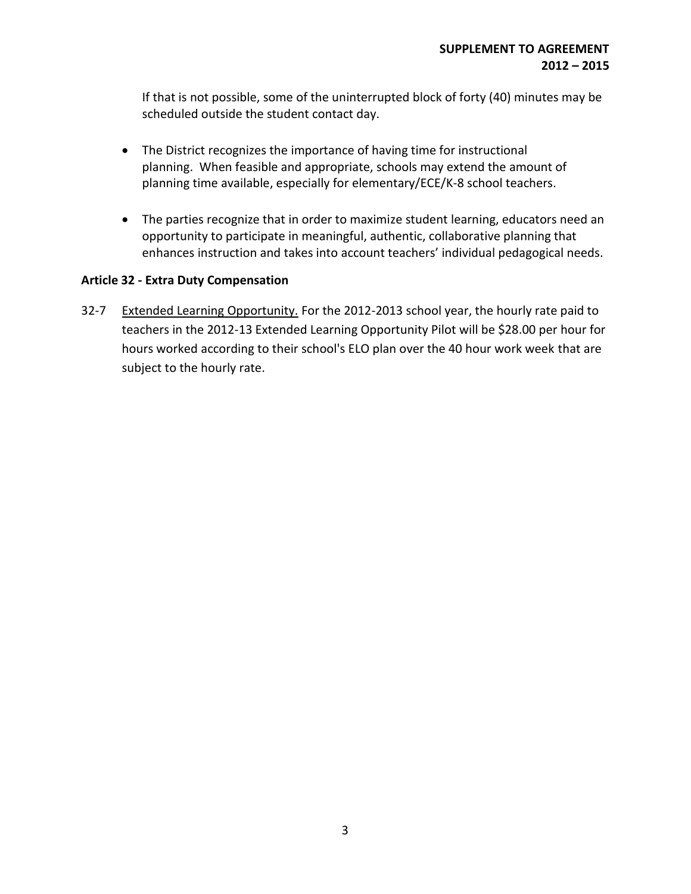If that is not possible, some of the uninterrupted block of forty (40) minutes may be scheduled outside the student contact day.

- The District recognizes the importance of having time for instructional planning. When feasible and appropriate, schools may extend the amount of planning time available, especially for elementary/ECE/K-8 school teachers.
- The parties recognize that in order to maximize student learning, educators need an opportunity to participate in meaningful, authentic, collaborative planning that enhances instruction and takes into account teachers' individual pedagogical needs.

## **Article 32 - Extra Duty Compensation**

32-7 Extended Learning Opportunity. For the 2012-2013 school year, the hourly rate paid to teachers in the 2012-13 Extended Learning Opportunity Pilot will be \$28.00 per hour for hours worked according to their school's ELO plan over the 40 hour work week that are subject to the hourly rate.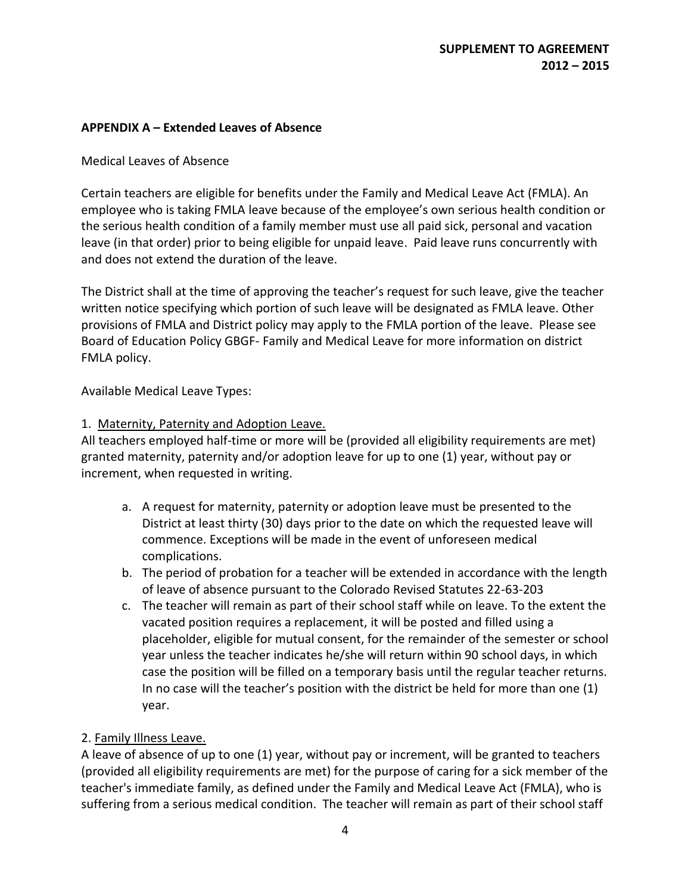### **APPENDIX A – Extended Leaves of Absence**

#### Medical Leaves of Absence

Certain teachers are eligible for benefits under the Family and Medical Leave Act (FMLA). An employee who is taking FMLA leave because of the employee's own serious health condition or the serious health condition of a family member must use all paid sick, personal and vacation leave (in that order) prior to being eligible for unpaid leave. Paid leave runs concurrently with and does not extend the duration of the leave.

The District shall at the time of approving the teacher's request for such leave, give the teacher written notice specifying which portion of such leave will be designated as FMLA leave. Other provisions of FMLA and District policy may apply to the FMLA portion of the leave. Please see Board of Education Policy GBGF- Family and Medical Leave for more information on district FMLA policy.

Available Medical Leave Types:

#### 1. Maternity, Paternity and Adoption Leave.

All teachers employed half-time or more will be (provided all eligibility requirements are met) granted maternity, paternity and/or adoption leave for up to one (1) year, without pay or increment, when requested in writing.

- a. A request for maternity, paternity or adoption leave must be presented to the District at least thirty (30) days prior to the date on which the requested leave will commence. Exceptions will be made in the event of unforeseen medical complications.
- b. The period of probation for a teacher will be extended in accordance with the length of leave of absence pursuant to the Colorado Revised Statutes 22-63-203
- c. The teacher will remain as part of their school staff while on leave. To the extent the vacated position requires a replacement, it will be posted and filled using a placeholder, eligible for mutual consent, for the remainder of the semester or school year unless the teacher indicates he/she will return within 90 school days, in which case the position will be filled on a temporary basis until the regular teacher returns. In no case will the teacher's position with the district be held for more than one (1) year.

### 2. Family Illness Leave.

A leave of absence of up to one (1) year, without pay or increment, will be granted to teachers (provided all eligibility requirements are met) for the purpose of caring for a sick member of the teacher's immediate family, as defined under the Family and Medical Leave Act (FMLA), who is suffering from a serious medical condition. The teacher will remain as part of their school staff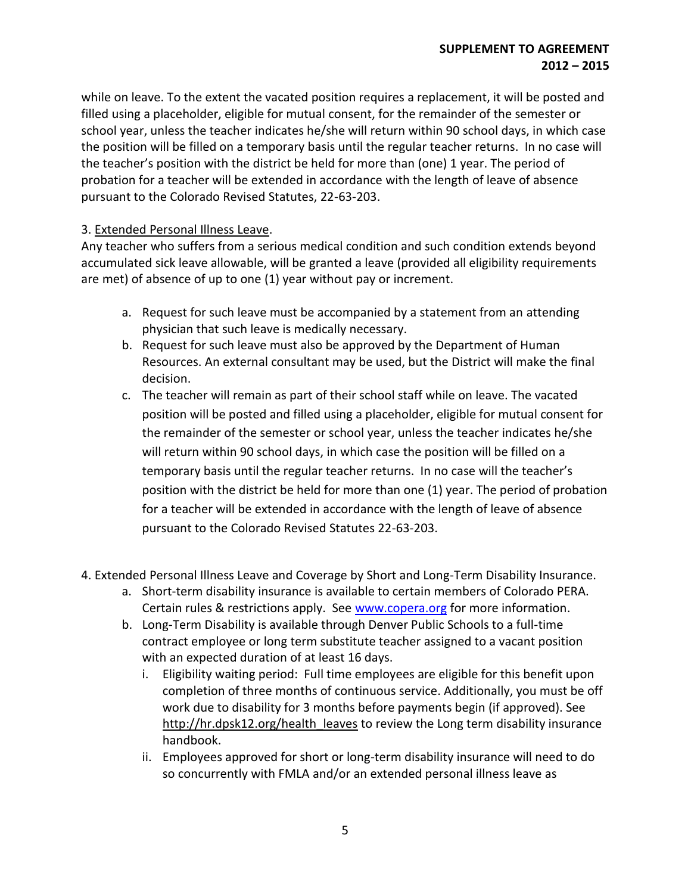while on leave. To the extent the vacated position requires a replacement, it will be posted and filled using a placeholder, eligible for mutual consent, for the remainder of the semester or school year, unless the teacher indicates he/she will return within 90 school days, in which case the position will be filled on a temporary basis until the regular teacher returns. In no case will the teacher's position with the district be held for more than (one) 1 year. The period of probation for a teacher will be extended in accordance with the length of leave of absence pursuant to the Colorado Revised Statutes, 22-63-203.

#### 3. Extended Personal Illness Leave.

Any teacher who suffers from a serious medical condition and such condition extends beyond accumulated sick leave allowable, will be granted a leave (provided all eligibility requirements are met) of absence of up to one (1) year without pay or increment.

- a. Request for such leave must be accompanied by a statement from an attending physician that such leave is medically necessary.
- b. Request for such leave must also be approved by the Department of Human Resources. An external consultant may be used, but the District will make the final decision.
- c. The teacher will remain as part of their school staff while on leave. The vacated position will be posted and filled using a placeholder, eligible for mutual consent for the remainder of the semester or school year, unless the teacher indicates he/she will return within 90 school days, in which case the position will be filled on a temporary basis until the regular teacher returns. In no case will the teacher's position with the district be held for more than one (1) year. The period of probation for a teacher will be extended in accordance with the length of leave of absence pursuant to the Colorado Revised Statutes 22-63-203.
- 4. Extended Personal Illness Leave and Coverage by Short and Long-Term Disability Insurance.
	- a. Short-term disability insurance is available to certain members of Colorado PERA. Certain rules & restrictions apply. See [www.copera.org](http://www.copera.org/) for more information.
	- b. Long-Term Disability is available through Denver Public Schools to a full-time contract employee or long term substitute teacher assigned to a vacant position with an expected duration of at least 16 days.
		- i. Eligibility waiting period: Full time employees are eligible for this benefit upon completion of three months of continuous service. Additionally, you must be off work due to disability for 3 months before payments begin (if approved). See [http://hr.dpsk12.org/health\\_leaves](http://hr.dpsk12.org/health_leaves) to review the Long term disability insurance handbook.
		- ii. Employees approved for short or long-term disability insurance will need to do so concurrently with FMLA and/or an extended personal illness leave as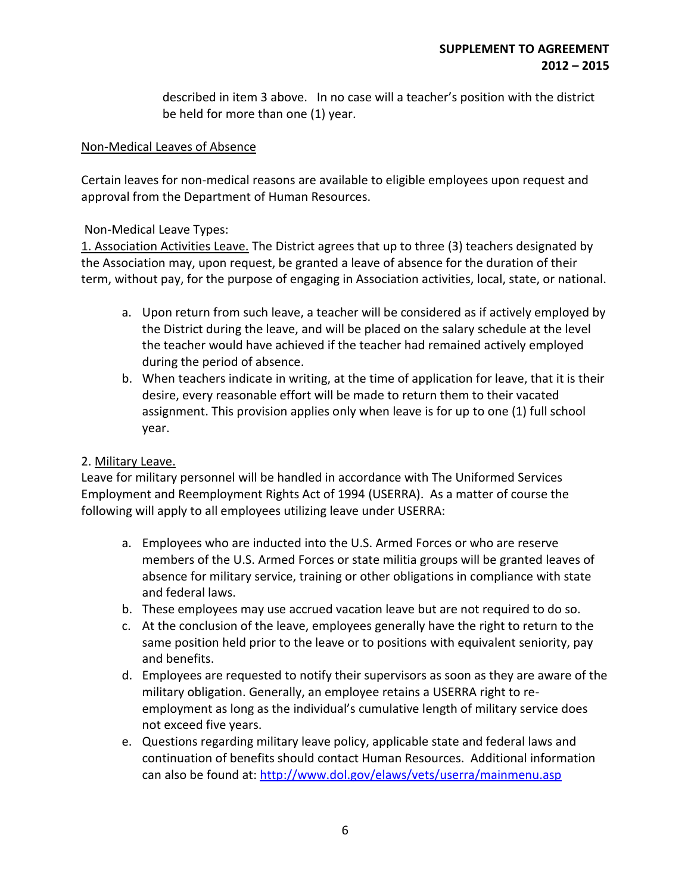described in item 3 above. In no case will a teacher's position with the district be held for more than one (1) year.

#### Non-Medical Leaves of Absence

Certain leaves for non-medical reasons are available to eligible employees upon request and approval from the Department of Human Resources.

#### Non-Medical Leave Types:

1. Association Activities Leave. The District agrees that up to three (3) teachers designated by the Association may, upon request, be granted a leave of absence for the duration of their term, without pay, for the purpose of engaging in Association activities, local, state, or national.

- a. Upon return from such leave, a teacher will be considered as if actively employed by the District during the leave, and will be placed on the salary schedule at the level the teacher would have achieved if the teacher had remained actively employed during the period of absence.
- b. When teachers indicate in writing, at the time of application for leave, that it is their desire, every reasonable effort will be made to return them to their vacated assignment. This provision applies only when leave is for up to one (1) full school year.

### 2. Military Leave.

Leave for military personnel will be handled in accordance with The Uniformed Services Employment and Reemployment Rights Act of 1994 (USERRA). As a matter of course the following will apply to all employees utilizing leave under USERRA:

- a. Employees who are inducted into the U.S. Armed Forces or who are reserve members of the U.S. Armed Forces or state militia groups will be granted leaves of absence for military service, training or other obligations in compliance with state and federal laws.
- b. These employees may use accrued vacation leave but are not required to do so.
- c. At the conclusion of the leave, employees generally have the right to return to the same position held prior to the leave or to positions with equivalent seniority, pay and benefits.
- d. Employees are requested to notify their supervisors as soon as they are aware of the military obligation. Generally, an employee retains a USERRA right to reemployment as long as the individual's cumulative length of military service does not exceed five years.
- e. Questions regarding military leave policy, applicable state and federal laws and continuation of benefits should contact Human Resources. Additional information can also be found at:<http://www.dol.gov/elaws/vets/userra/mainmenu.asp>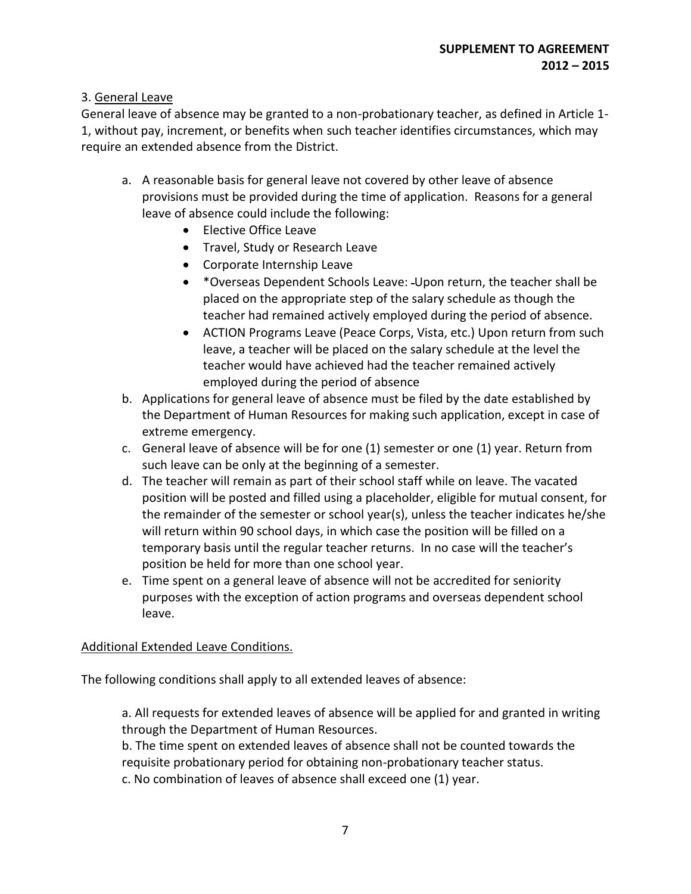## 3. General Leave

General leave of absence may be granted to a non-probationary teacher, as defined in Article 1- 1, without pay, increment, or benefits when such teacher identifies circumstances, which may require an extended absence from the District.

- a. A reasonable basis for general leave not covered by other leave of absence provisions must be provided during the time of application. Reasons for a general leave of absence could include the following:
	- Elective Office Leave
	- Travel, Study or Research Leave
	- Corporate Internship Leave
	- \*Overseas Dependent Schools Leave: Upon return, the teacher shall be placed on the appropriate step of the salary schedule as though the teacher had remained actively employed during the period of absence.
	- ACTION Programs Leave (Peace Corps, Vista, etc.) Upon return from such leave, a teacher will be placed on the salary schedule at the level the teacher would have achieved had the teacher remained actively employed during the period of absence
- b. Applications for general leave of absence must be filed by the date established by the Department of Human Resources for making such application, except in case of extreme emergency.
- c. General leave of absence will be for one (1) semester or one (1) year. Return from such leave can be only at the beginning of a semester.
- d. The teacher will remain as part of their school staff while on leave. The vacated position will be posted and filled using a placeholder, eligible for mutual consent, for the remainder of the semester or school year(s), unless the teacher indicates he/she will return within 90 school days, in which case the position will be filled on a temporary basis until the regular teacher returns. In no case will the teacher's position be held for more than one school year.
- e. Time spent on a general leave of absence will not be accredited for seniority purposes with the exception of action programs and overseas dependent school leave.

### Additional Extended Leave Conditions.

The following conditions shall apply to all extended leaves of absence:

a. All requests for extended leaves of absence will be applied for and granted in writing through the Department of Human Resources.

b. The time spent on extended leaves of absence shall not be counted towards the requisite probationary period for obtaining non-probationary teacher status. c. No combination of leaves of absence shall exceed one (1) year.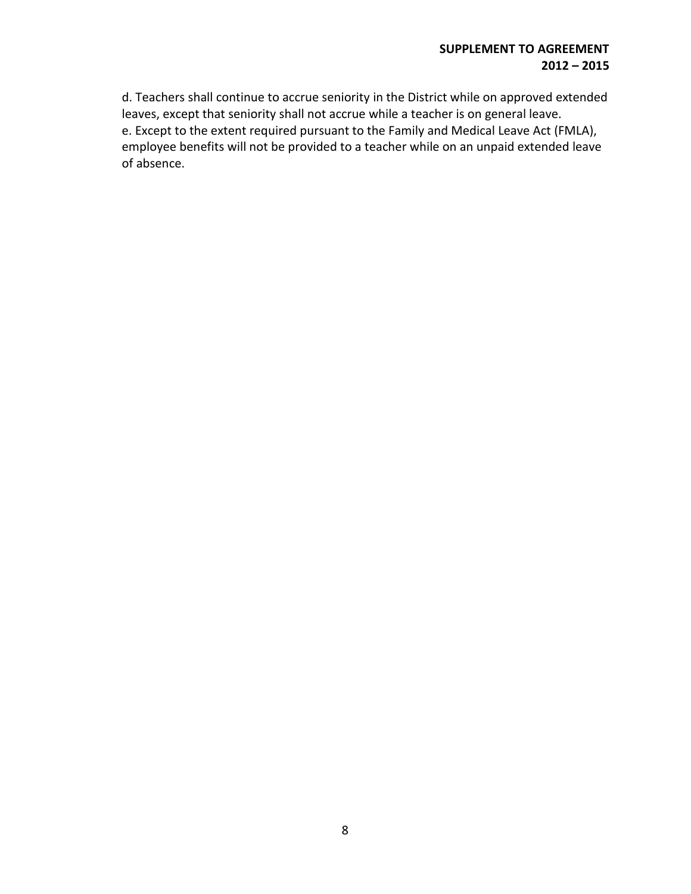### **SUPPLEMENT TO AGREEMENT 2012 – 2015**

d. Teachers shall continue to accrue seniority in the District while on approved extended leaves, except that seniority shall not accrue while a teacher is on general leave. e. Except to the extent required pursuant to the Family and Medical Leave Act (FMLA), employee benefits will not be provided to a teacher while on an unpaid extended leave of absence.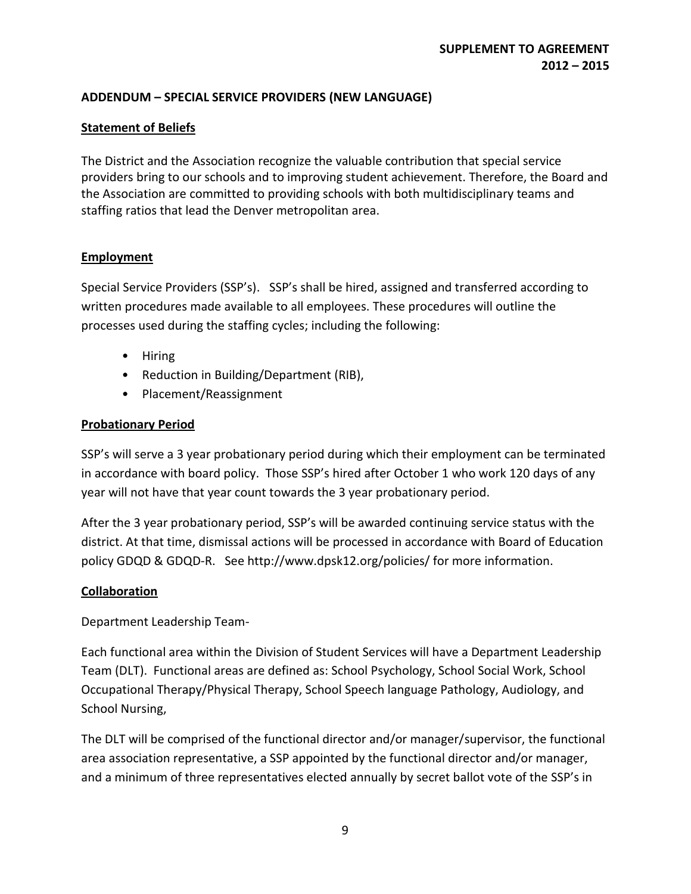## **ADDENDUM – SPECIAL SERVICE PROVIDERS (NEW LANGUAGE)**

## **Statement of Beliefs**

The District and the Association recognize the valuable contribution that special service providers bring to our schools and to improving student achievement. Therefore, the Board and the Association are committed to providing schools with both multidisciplinary teams and staffing ratios that lead the Denver metropolitan area.

## **Employment**

Special Service Providers (SSP's). SSP's shall be hired, assigned and transferred according to written procedures made available to all employees. These procedures will outline the processes used during the staffing cycles; including the following:

- Hiring
- Reduction in Building/Department (RIB),
- Placement/Reassignment

### **Probationary Period**

SSP's will serve a 3 year probationary period during which their employment can be terminated in accordance with board policy. Those SSP's hired after October 1 who work 120 days of any year will not have that year count towards the 3 year probationary period.

After the 3 year probationary period, SSP's will be awarded continuing service status with the district. At that time, dismissal actions will be processed in accordance with Board of Education policy GDQD & GDQD-R. See http://www.dpsk12.org/policies/ for more information.

### **Collaboration**

Department Leadership Team-

Each functional area within the Division of Student Services will have a Department Leadership Team (DLT). Functional areas are defined as: School Psychology, School Social Work, School Occupational Therapy/Physical Therapy, School Speech language Pathology, Audiology, and School Nursing,

The DLT will be comprised of the functional director and/or manager/supervisor, the functional area association representative, a SSP appointed by the functional director and/or manager, and a minimum of three representatives elected annually by secret ballot vote of the SSP's in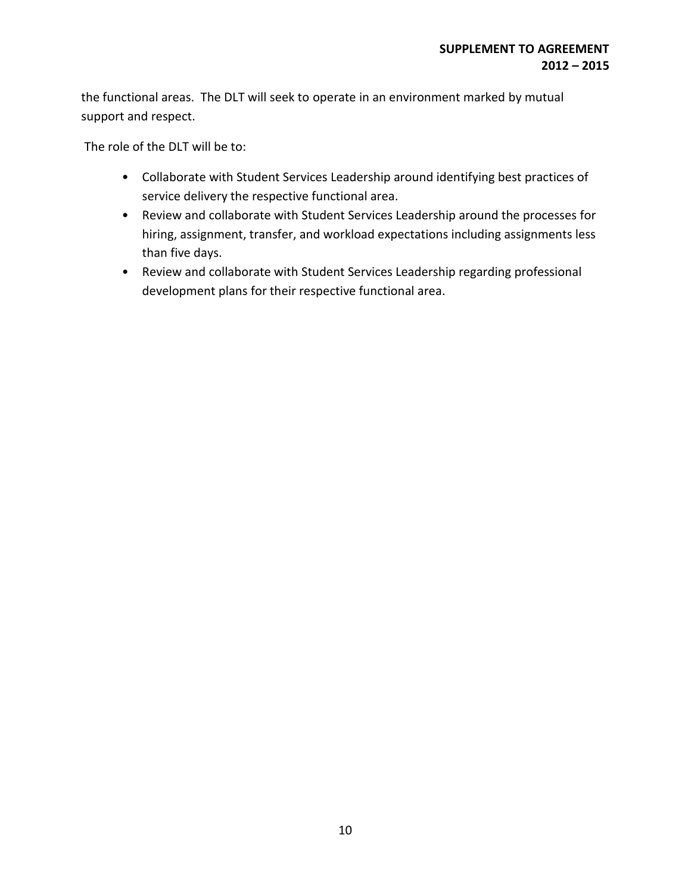the functional areas. The DLT will seek to operate in an environment marked by mutual support and respect.

The role of the DLT will be to:

- Collaborate with Student Services Leadership around identifying best practices of service delivery the respective functional area.
- Review and collaborate with Student Services Leadership around the processes for hiring, assignment, transfer, and workload expectations including assignments less than five days.
- Review and collaborate with Student Services Leadership regarding professional development plans for their respective functional area.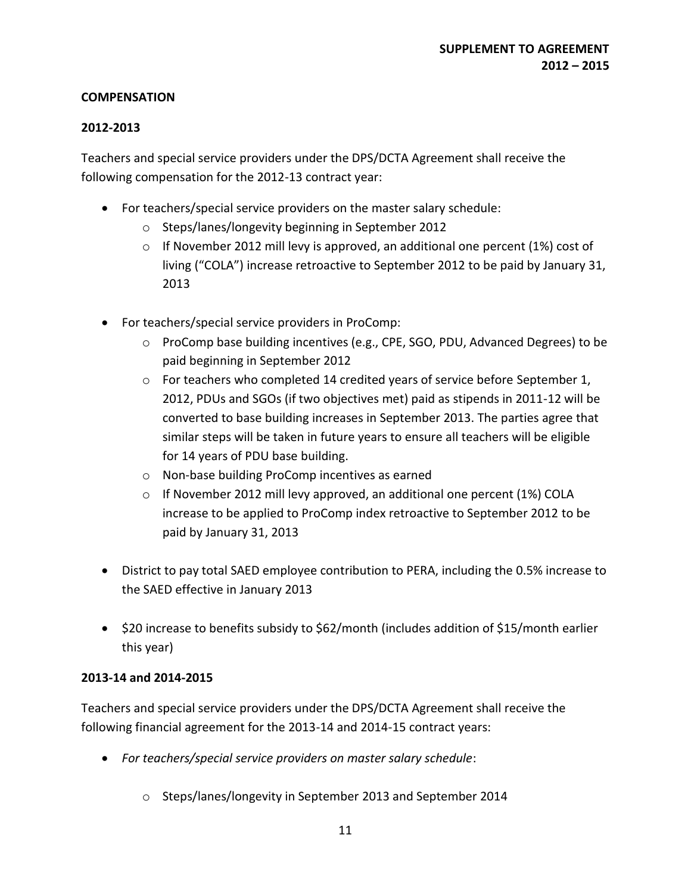### **COMPENSATION**

## **2012-2013**

Teachers and special service providers under the DPS/DCTA Agreement shall receive the following compensation for the 2012-13 contract year:

- For teachers/special service providers on the master salary schedule:
	- o Steps/lanes/longevity beginning in September 2012
	- $\circ$  If November 2012 mill levy is approved, an additional one percent (1%) cost of living ("COLA") increase retroactive to September 2012 to be paid by January 31, 2013
- For teachers/special service providers in ProComp:
	- o ProComp base building incentives (e.g., CPE, SGO, PDU, Advanced Degrees) to be paid beginning in September 2012
	- $\circ$  For teachers who completed 14 credited years of service before September 1, 2012, PDUs and SGOs (if two objectives met) paid as stipends in 2011-12 will be converted to base building increases in September 2013. The parties agree that similar steps will be taken in future years to ensure all teachers will be eligible for 14 years of PDU base building.
	- o Non-base building ProComp incentives as earned
	- $\circ$  If November 2012 mill levy approved, an additional one percent (1%) COLA increase to be applied to ProComp index retroactive to September 2012 to be paid by January 31, 2013
- District to pay total SAED employee contribution to PERA, including the 0.5% increase to the SAED effective in January 2013
- \$20 increase to benefits subsidy to \$62/month (includes addition of \$15/month earlier this year)

## **2013-14 and 2014-2015**

Teachers and special service providers under the DPS/DCTA Agreement shall receive the following financial agreement for the 2013-14 and 2014-15 contract years:

- *For teachers/special service providers on master salary schedule*:
	- o Steps/lanes/longevity in September 2013 and September 2014